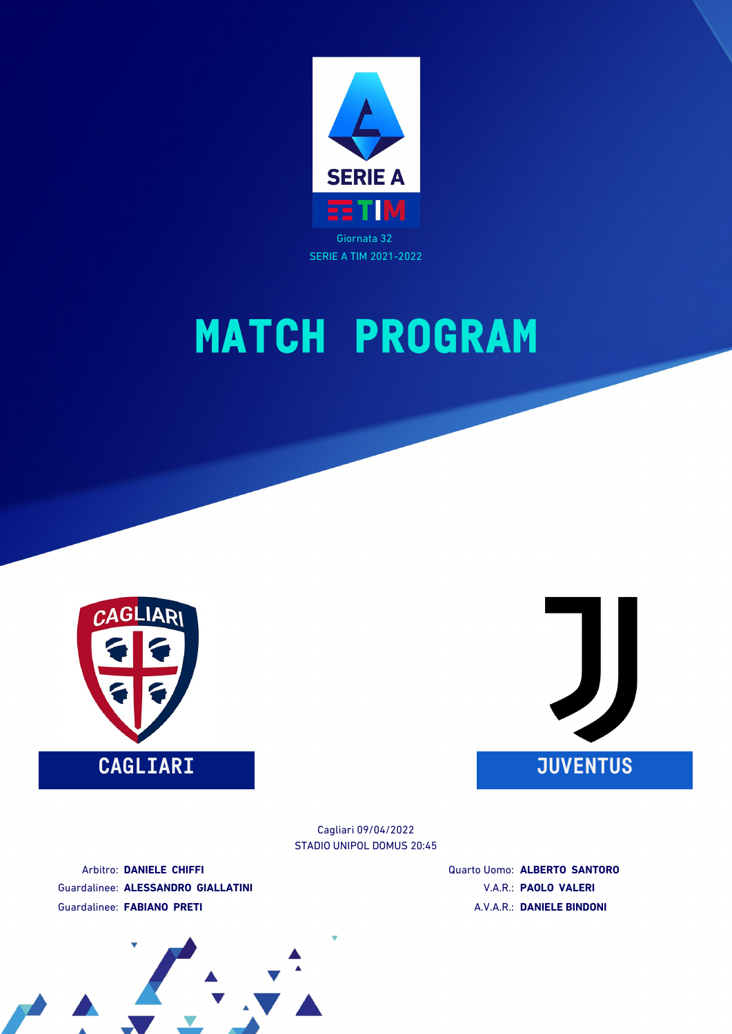





STADIO UNIPOL DOMUS 20:45 Cagliari 09/04/2022

Arbitro: **DANIELE CHIFFI** Guardalinee: **ALESSANDRO GIALLATINI** Guardalinee: **FABIANO PRETI**

Quarto Uomo: **ALBERTO SANTORO** V.A.R.: **PAOLO VALERI** A.V.A.R.: **DANIELE BINDONI**

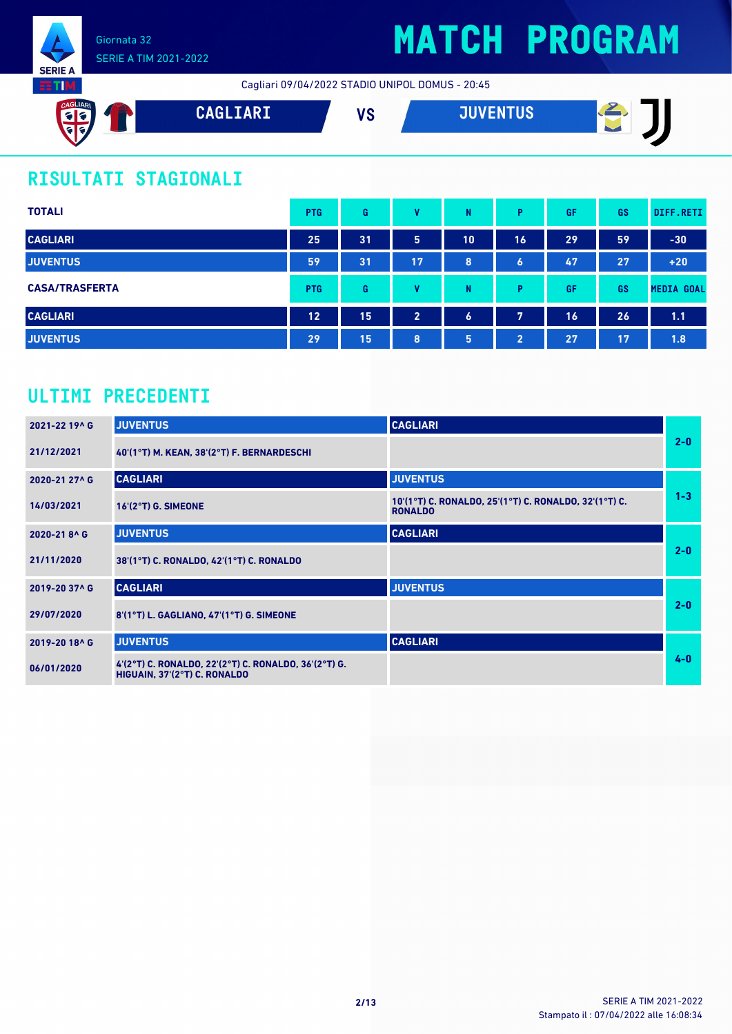

Cagliari 09/04/2022 STADIO UNIPOL DOMUS - 20:45



### **RISULTATI STAGIONALI**

| <b>TOTALI</b>         | <b>PTG</b> | G  | v              | N  | Þ              | GF | GS | DIFF.RETI         |
|-----------------------|------------|----|----------------|----|----------------|----|----|-------------------|
| <b>CAGLIARI</b>       | 25         | 31 | 5              | 10 | 16             | 29 | 59 | $-30$             |
| <b>JUVENTUS</b>       | 59         | 31 | 17             | 8  | 6              | 47 | 27 | $+20$             |
| <b>CASA/TRASFERTA</b> | <b>PTG</b> | G  | v              | N  | D              | GF | GS | <b>MEDIA GOAL</b> |
| <b>CAGLIARI</b>       | 12         | 15 | $\overline{2}$ | 6  | 7              | 16 | 26 | 1.1               |
| <b>JUVENTUS</b>       | 29         | 15 | 8              | 5  | $\overline{2}$ | 27 | 17 | 1.8               |

### **ULTIMI PRECEDENTI**

| 2021-22 19^ G | <b>JUVENTUS</b>                                                                      | <b>CAGLIARI</b>                                                         |         |
|---------------|--------------------------------------------------------------------------------------|-------------------------------------------------------------------------|---------|
| 21/12/2021    | 40'(1°T) M. KEAN, 38'(2°T) F. BERNARDESCHI                                           |                                                                         | $2-0$   |
| 2020-21 27^ G | <b>CAGLIARI</b>                                                                      | <b>JUVENTUS</b>                                                         |         |
| 14/03/2021    | $16'(2°T)$ G. SIMEONE                                                                | 10'(1°T) C. RONALDO, 25'(1°T) C. RONALDO, 32'(1°T) C.<br><b>RONALDO</b> | $1 - 3$ |
| 2020-218^G    | <b>JUVENTUS</b>                                                                      | <b>CAGLIARI</b>                                                         |         |
| 21/11/2020    | 38'(1°T) C. RONALDO, 42'(1°T) C. RONALDO                                             |                                                                         | $2-0$   |
| 2019-20 37^ G | <b>CAGLIARI</b>                                                                      | <b>JUVENTUS</b>                                                         |         |
| 29/07/2020    | 8'(1°T) L. GAGLIANO, 47'(1°T) G. SIMEONE                                             |                                                                         | $2 - 0$ |
| 2019-20 18^ G | <b>JUVENTUS</b>                                                                      | <b>CAGLIARI</b>                                                         |         |
| 06/01/2020    | 4'(2°T) C. RONALDO, 22'(2°T) C. RONALDO, 36'(2°T) G.<br>HIGUAIN, 37'(2°T) C. RONALDO |                                                                         | $4 - 0$ |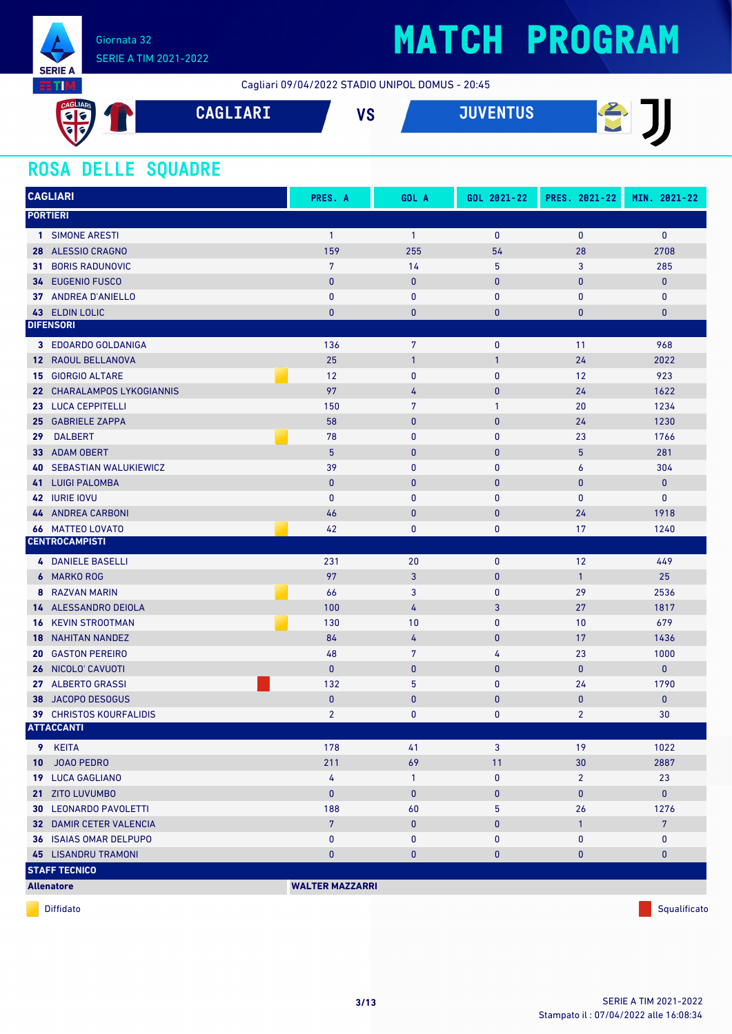

### SERIE A TIM 2021-2022

## **MATCH PROGRAM**

Cagliari 09/04/2022 STADIO UNIPOL DOMUS - 20:45

| CAGLIARI<br>$\epsilon$<br>$\left  \cdot \right $ | <b>CAGLIARI</b> | uо<br>, J | <b>JUVENTUS</b> ' | ≂<br>- |
|--------------------------------------------------|-----------------|-----------|-------------------|--------|
| V                                                |                 |           |                   |        |

### **ROSA DELLE SQUADRE**

|     | <b>CAGLIARI</b>                                             | PRES. A                | GOL A           | GOL 2021-22  | PRES. 2021-22  | MIN. 2021-22         |
|-----|-------------------------------------------------------------|------------------------|-----------------|--------------|----------------|----------------------|
|     | <b>PORTIERI</b>                                             |                        |                 |              |                |                      |
|     | 1 SIMONE ARESTI                                             | $\mathbf{1}$           | $\mathbf{1}$    | $\bf{0}$     | $\mathbf{0}$   | $\mathbf{0}$         |
|     | 28 ALESSIO CRAGNO                                           | 159                    | 255             | 54           | 28             | 2708                 |
| 31. | <b>BORIS RADUNOVIC</b>                                      | $\overline{7}$         | 14              | 5            | 3              | 285                  |
|     | 34 EUGENIO FUSCO                                            | $\pmb{0}$              | $\mathbf{0}$    | $\pmb{0}$    | $\mathbf{0}$   | $\mathbf{0}$         |
|     | 37 ANDREA D'ANIELLO                                         | $\pmb{0}$              | $\pmb{0}$       | $\pmb{0}$    | $\pmb{0}$      | $\mathbf 0$          |
|     | 43 ELDIN LOLIC                                              | $\mathbf{0}$           | $\mathbf{0}$    | $\bf{0}$     | 0              | $\pmb{0}$            |
|     | <b>DIFENSORI</b>                                            |                        |                 |              |                |                      |
|     | 3 EDOARDO GOLDANIGA                                         | 136                    | $\overline{7}$  | $\mathbf 0$  | 11             | 968                  |
|     | 12 RAOUL BELLANOVA                                          | 25                     | $\mathbf{1}$    | $\mathbf{1}$ | 24             | 2022                 |
|     | <b>15 GIORGIO ALTARE</b>                                    | 12                     | $\pmb{0}$       | $\mathbf{0}$ | 12             | 923                  |
|     | 22 CHARALAMPOS LYKOGIANNIS                                  | 97                     | 4               | $\mathbf{0}$ | 24             | 1622                 |
|     | 23 LUCA CEPPITELLI                                          | 150                    | $\overline{7}$  | 1            | 20             | 1234                 |
| 25  | <b>GABRIELE ZAPPA</b>                                       | 58                     | $\mathbf{0}$    | $\pmb{0}$    | 24             | 1230                 |
| 29  | <b>DALBERT</b>                                              | 78                     | $\bf{0}$        | $\mathbf{0}$ | 23             | 1766                 |
| 33  | <b>ADAM OBERT</b>                                           | 5                      | $\mathbf{0}$    | $\bf{0}$     | 5              | 281                  |
| 40  | <b>SEBASTIAN WALUKIEWICZ</b>                                | 39                     | $\mathbf{0}$    | $\mathbf{0}$ | 6              | 304                  |
|     | <b>41 LUIGI PALOMBA</b>                                     | $\pmb{0}$              | $\mathbf{0}$    | $\bf{0}$     | $\bf{0}$       | $\pmb{0}$            |
|     | 42 IURIE IOVU                                               | $\mathbf{0}$           | $\bf{0}$        | $\mathbf{0}$ | $\mathbf{0}$   | $\pmb{0}$            |
|     | <b>44 ANDREA CARBONI</b>                                    | 46                     | $\mathbf{0}$    | $\mathbf{0}$ | 24             | 1918                 |
|     | <b>66 MATTEO LOVATO</b>                                     | 42                     | $\bf{0}$        | 0            | 17             | 1240                 |
|     | <b>CENTROCAMPISTI</b>                                       |                        |                 |              |                |                      |
|     | <b>4 DANIELE BASELLI</b>                                    | 231                    | 20              | $\mathbf{0}$ | 12             | 449                  |
| 6   | <b>MARKO ROG</b>                                            | 97                     | 3               | $\mathbf{0}$ | $\mathbf{1}$   | 25                   |
|     | 8 RAZVAN MARIN                                              | 66                     | 3               | 0            | 29             | 2536                 |
|     | 14 ALESSANDRO DEIOLA                                        | 100                    | 4               | 3            | 27             | 1817                 |
|     | <b>16 KEVIN STROOTMAN</b>                                   | 130                    | 10              | $\mathbf{0}$ | 10             | 679                  |
|     | <b>18 NAHITAN NANDEZ</b>                                    | 84                     | 4               | $\pmb{0}$    | 17             | 1436                 |
| 20  | <b>GASTON PEREIRO</b>                                       | 48                     | 7               | 4            | 23             | 1000                 |
| 26  | NICOLO' CAVUOTI                                             | $\mathbf{0}$           | $\pmb{0}$       | $\bf{0}$     | $\mathbf{0}$   | $\mathbf{0}$         |
| 27  | <b>ALBERTO GRASSI</b>                                       | 132                    | 5               | $\mathbf{0}$ | 24             | 1790                 |
| 38  | <b>JACOPO DESOGUS</b>                                       | $\mathbf{0}$           | $\mathbf{0}$    | $\mathbf{0}$ | $\bf{0}$       | $\mathbf{0}$         |
|     | 39 CHRISTOS KOURFALIDIS<br><b>ATTACCANTI</b>                | $\overline{2}$         | $\mathbf{0}$    | 0            | $\overline{2}$ | 30                   |
|     |                                                             |                        |                 |              |                |                      |
|     | 9 KEITA                                                     | 178                    | 41              | 3            | 19             | 1022                 |
|     | 10 JOAO PEDRO                                               | 211                    | 69              | 11           | 30             | 2887                 |
|     | 19 LUCA GAGLIANO                                            | 4                      | $\mathbf{1}$    | $\pmb{0}$    | $\overline{2}$ | 23                   |
|     | 21 ZITO LUVUMBO<br><b>30 LEONARDO PAVOLETTI</b>             | $\mathbf{0}$<br>188    | $\pmb{0}$<br>60 | $\mathbf 0$  | 0<br>26        | $\mathbf{0}$<br>1276 |
|     |                                                             | $7\phantom{.}$         |                 | 5            |                |                      |
|     | <b>32 DAMIR CETER VALENCIA</b>                              |                        | $\pmb{0}$       | $\bf{0}$     | $\mathbf{1}$   | $7\phantom{.}$       |
|     | <b>36 ISAIAS OMAR DELPUPO</b><br><b>45 LISANDRU TRAMONI</b> | 0<br>$\pmb{0}$         | 0<br>$\pmb{0}$  | 0<br>0       | 0<br>$\pmb{0}$ | 0<br>$\pmb{0}$       |
|     | <b>STAFF TECNICO</b>                                        |                        |                 |              |                |                      |
|     |                                                             | <b>WALTER MAZZARRI</b> |                 |              |                |                      |
|     | <b>Allenatore</b>                                           |                        |                 |              |                |                      |

diffidato de la contradicción de la contradicción de la contradicción de la contradicción de la contradicción de Squalificato de la contradicción de la contradicción de la contradicción de la contradicción de la contradicc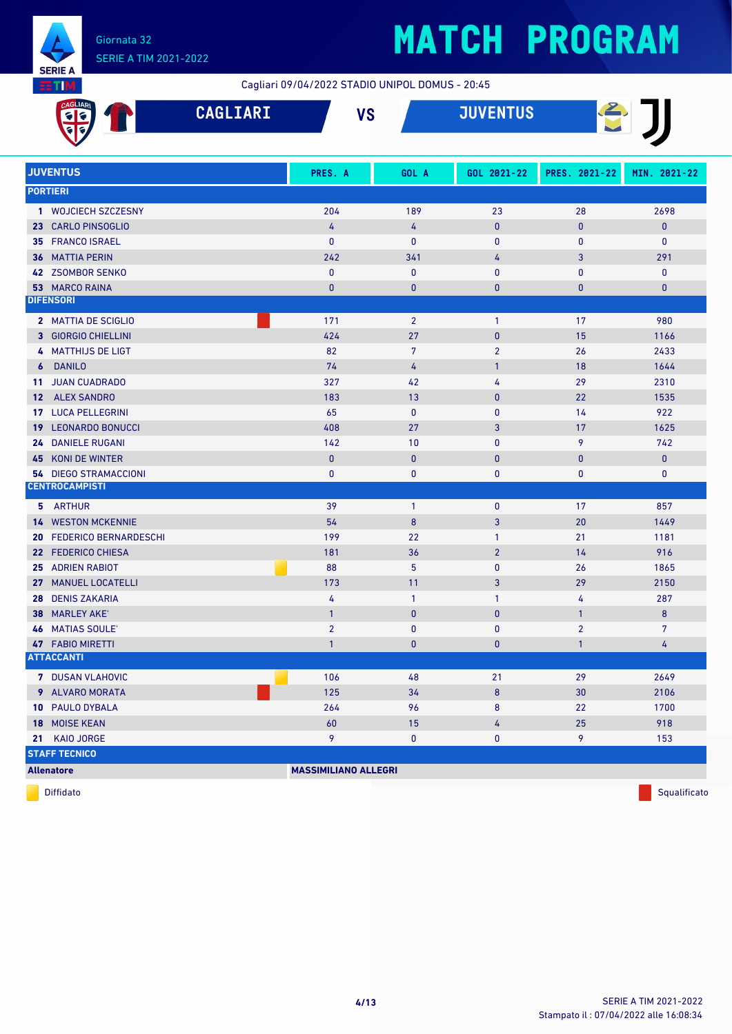

Cagliari 09/04/2022 STADIO UNIPOL DOMUS - 20:45

|                 | <b>AGLIAR</b>                | <b>CAGLIARI</b> | <b>VS</b>                   |                | <b>JUVENTUS</b> |                |                |  |
|-----------------|------------------------------|-----------------|-----------------------------|----------------|-----------------|----------------|----------------|--|
|                 |                              |                 |                             |                |                 |                |                |  |
|                 | <b>JUVENTUS</b>              |                 | PRES. A                     | GOL A          | GOL 2021-22     | PRES. 2021-22  | MIN. 2021-22   |  |
|                 | <b>PORTIERI</b>              |                 |                             |                |                 |                |                |  |
|                 | 1 WOJCIECH SZCZESNY          |                 | 204                         | 189            | 23              | 28             | 2698           |  |
|                 | 23 CARLO PINSOGLIO           |                 | 4                           | 4              | $\mathbf{0}$    | 0              | 0              |  |
|                 | 35 FRANCO ISRAEL             |                 | $\mathbf{0}$                | $\mathbf{0}$   | $\mathbf{0}$    | 0              | 0              |  |
| 36              | <b>MATTIA PERIN</b>          |                 | 242                         | 341            | 4               | 3              | 291            |  |
|                 | 42 ZSOMBOR SENKO             |                 | $\mathbf{0}$                | $\bf{0}$       | $\mathbf 0$     | 0              | $\mathbf 0$    |  |
|                 | <b>53 MARCO RAINA</b>        |                 | $\mathbf{0}$                | $\bf{0}$       | $\mathbf{0}$    | 0              | $\pmb{0}$      |  |
|                 | <b>DIFENSORI</b>             |                 |                             |                |                 |                |                |  |
|                 | 2 MATTIA DE SCIGLIO          |                 | 171                         | $\overline{2}$ | $\mathbf{1}$    | 17             | 980            |  |
|                 | 3 GIORGIO CHIELLINI          |                 | 424                         | 27             | $\mathbf{0}$    | 15             | 1166           |  |
|                 | 4 MATTHIJS DE LIGT           |                 | 82                          | $\overline{7}$ | $\overline{2}$  | 26             | 2433           |  |
| 6               | <b>DANILO</b>                |                 | 74                          | 4              | $\mathbf{1}$    | 18             | 1644           |  |
| 11              | <b>JUAN CUADRADO</b>         |                 | 327                         | 42             | 4               | 29             | 2310           |  |
| 12 <sup>2</sup> | <b>ALEX SANDRO</b>           |                 | 183                         | 13             | $\mathbf{0}$    | 22             | 1535           |  |
|                 | <b>17 LUCA PELLEGRINI</b>    |                 | 65                          | $\bf{0}$       | $\mathbf{0}$    | 14             | 922            |  |
| 19              | <b>LEONARDO BONUCCI</b>      |                 | 408                         | 27             | 3               | 17             | 1625           |  |
| 24              | <b>DANIELE RUGANI</b>        |                 | 142                         | 10             | $\mathbf{0}$    | 9              | 742            |  |
| 45              | KONI DE WINTER               |                 | $\mathbf{0}$                | $\mathbf{0}$   | $\mathbf{0}$    | 0              | $\pmb{0}$      |  |
|                 | <b>54 DIEGO STRAMACCIONI</b> |                 | $\mathbf 0$                 | 0              | $\mathbf 0$     | 0              | 0              |  |
|                 | <b>CENTROCAMPISTI</b>        |                 |                             |                |                 |                |                |  |
|                 | 5 ARTHUR                     |                 | 39                          | $\mathbf{1}$   | $\mathbf 0$     | 17             | 857            |  |
|                 | <b>14 WESTON MCKENNIE</b>    |                 | 54                          | 8              | 3               | 20             | 1449           |  |
| 20              | <b>FEDERICO BERNARDESCHI</b> |                 | 199                         | 22             | $\mathbf{1}$    | 21             | 1181           |  |
|                 | 22 FEDERICO CHIESA           |                 | 181                         | 36             | $\overline{2}$  | 14             | 916            |  |
|                 | 25 ADRIEN RABIOT             |                 | 88                          | 5              | $\mathbf{0}$    | 26             | 1865           |  |
|                 | 27 MANUEL LOCATELLI          |                 | 173                         | 11             | 3               | 29             | 2150           |  |
| 28              | <b>DENIS ZAKARIA</b>         |                 | 4                           | $\mathbf{1}$   | $\mathbf{1}$    | 4              | 287            |  |
| 38              | <b>MARLEY AKE'</b>           |                 | $\overline{1}$              | $\mathbf{0}$   | $\mathbf{0}$    | $\mathbf{1}$   | 8              |  |
|                 | <b>46 MATIAS SOULE'</b>      |                 | $\overline{2}$              | $\bf{0}$       | $\bf{0}$        | $\overline{2}$ | $\overline{7}$ |  |
|                 | 47 FABIO MIRETTI             |                 | $\mathbf{1}$                | $\mathbf{0}$   | $\mathbf 0$     | $\mathbf{1}$   | $\frac{1}{4}$  |  |
|                 | <b>ATTACCANTI</b>            |                 |                             |                |                 |                |                |  |
|                 | 7 DUSAN VLAHOVIC             |                 | 106                         | 48             | 21              | 29             | 2649           |  |
|                 | 9 ALVARO MORATA              |                 | 125                         | 34             | 8               | 30             | 2106           |  |
|                 | 10 PAULO DYBALA              |                 | 264                         | 96             | 8               | 22             | 1700           |  |
|                 | 18 MOISE KEAN                |                 | 60                          | 15             | 4               | 25             | 918            |  |
|                 | 21 KAIO JORGE                |                 | 9                           | 0              | 0               | 9              | 153            |  |
|                 | <b>STAFF TECNICO</b>         |                 |                             |                |                 |                |                |  |
|                 | <b>Allenatore</b>            |                 | <b>MASSIMILIANO ALLEGRI</b> |                |                 |                |                |  |

diffidato de la contradicción de la contradicción de la contradicción de la contradicción de la contradicción de Squalificato de la contradicción de la contradicción de la contradicción de la contradicción de la contradicc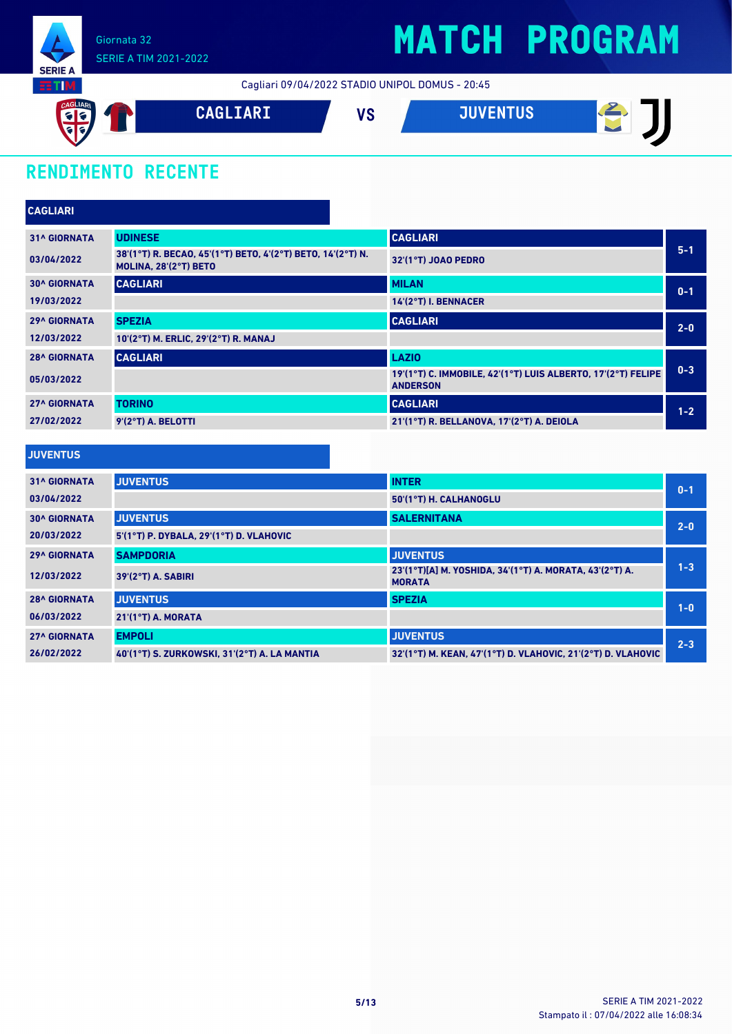

### SERIE A TIM 2021-2022

## **MATCH PROGRAM**

Cagliari 09/04/2022 STADIO UNIPOL DOMUS - 20:45



### **RENDIMENTO RECENTE**

| <b>CAGLIARI</b>     |                                                                                      |                                                                                 |         |
|---------------------|--------------------------------------------------------------------------------------|---------------------------------------------------------------------------------|---------|
| <b>31^ GIORNATA</b> | <b>UDINESE</b>                                                                       | <b>CAGLIARI</b>                                                                 |         |
| 03/04/2022          | 38'(1°T) R. BECAO, 45'(1°T) BETO, 4'(2°T) BETO, 14'(2°T) N.<br>MOLINA, 28'(2°T) BETO | 32'(1°T) JOAO PEDRO                                                             | $5 - 1$ |
| <b>30^ GIORNATA</b> | <b>CAGLIARI</b>                                                                      | <b>MILAN</b>                                                                    | $0 - 1$ |
| 19/03/2022          |                                                                                      | 14'(2°T) I. BENNACER                                                            |         |
| <b>29^ GIORNATA</b> | <b>SPEZIA</b>                                                                        | <b>CAGLIARI</b>                                                                 | $2 - 0$ |
| 12/03/2022          | 10'(2°T) M. ERLIC, 29'(2°T) R. MANAJ                                                 |                                                                                 |         |
| <b>28^ GIORNATA</b> | <b>CAGLIARI</b>                                                                      | <b>LAZIO</b>                                                                    |         |
| 05/03/2022          |                                                                                      | 19'(1°T) C. IMMOBILE, 42'(1°T) LUIS ALBERTO, 17'(2°T) FELIPE<br><b>ANDERSON</b> | $0 - 3$ |
| <b>27^ GIORNATA</b> | <b>TORINO</b>                                                                        | <b>CAGLIARI</b>                                                                 | $1 - 2$ |
| 27/02/2022          | 9'(2°T) A. BELOTTI                                                                   | 21'(1°T) R. BELLANOVA, 17'(2°T) A. DEIOLA                                       |         |

| <b>JUVENTUS</b>     |                                              |                                                                          |         |
|---------------------|----------------------------------------------|--------------------------------------------------------------------------|---------|
| <b>31^ GIORNATA</b> | <b>JUVENTUS</b>                              | <b>INTER</b>                                                             | $0 - 1$ |
| 03/04/2022          |                                              | 50'(1°T) H. CALHANOGLU                                                   |         |
| <b>30^ GIORNATA</b> | <b>JUVENTUS</b>                              | <b>SALERNITANA</b>                                                       | $2-0$   |
| 20/03/2022          | 5'(1°T) P. DYBALA, 29'(1°T) D. VLAHOVIC      |                                                                          |         |
| <b>29^ GIORNATA</b> | <b>SAMPDORIA</b>                             | <b>JUVENTUS</b>                                                          |         |
| 12/03/2022          | $39'(2°T)$ A. SABIRI                         | 23'(1°T)[A] M. YOSHIDA, 34'(1°T) A. MORATA, 43'(2°T) A.<br><b>MORATA</b> | $1 - 3$ |
| <b>28^ GIORNATA</b> | <b>JUVENTUS</b>                              | <b>SPEZIA</b>                                                            | $1-0$   |
| 06/03/2022          | $21'(1°T)$ A. MORATA                         |                                                                          |         |
| <b>27^ GIORNATA</b> | <b>EMPOLI</b>                                | <b>JUVENTUS</b>                                                          | $2 - 3$ |
| 26/02/2022          | 40'(1°T) S. ZURKOWSKI, 31'(2°T) A. LA MANTIA | 32'(1°T) M. KEAN, 47'(1°T) D. VLAHOVIC, 21'(2°T) D. VLAHOVIC             |         |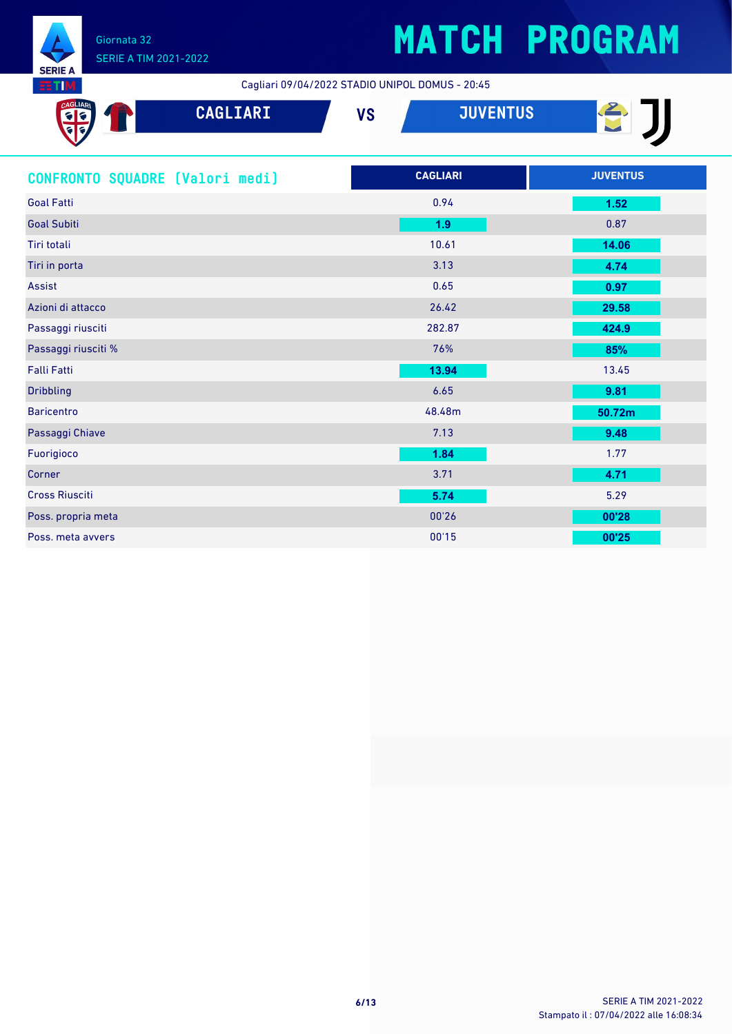

Cagliari 09/04/2022 STADIO UNIPOL DOMUS - 20:45

| CAGLIAR<br>CAGLIARI<br><mark>६</mark> ६<br>संब | <b>JUVENTUS</b><br><b>VS</b> | CI              |
|------------------------------------------------|------------------------------|-----------------|
| CONFRONTO SQUADRE [Valori medi]                | <b>CAGLIARI</b>              | <b>JUVENTUS</b> |
| <b>Goal Fatti</b>                              | 0.94                         | 1.52            |
| <b>Goal Subiti</b>                             | 1.9                          | 0.87            |
| Tiri totali                                    | 10.61                        | 14.06           |
| Tiri in porta                                  | 3.13                         | 4.74            |
| <b>Assist</b>                                  | 0.65                         | 0.97            |
| Azioni di attacco                              | 26.42                        | 29.58           |
| Passaggi riusciti                              | 282.87                       | 424.9           |
| Passaggi riusciti %                            | 76%                          | 85%             |
| <b>Falli Fatti</b>                             | 13.94                        | 13.45           |
| <b>Dribbling</b>                               | 6.65                         | 9.81            |
| <b>Baricentro</b>                              | 48.48m                       | 50.72m          |
| Passaggi Chiave                                | 7.13                         | 9.48            |
| Fuorigioco                                     | 1.84                         | 1.77            |
| Corner                                         | 3.71                         | 4.71            |
| <b>Cross Riusciti</b>                          | 5.74                         | 5.29            |
| Poss. propria meta                             | 00'26                        | 00'28           |
| Poss. meta avvers                              | 00'15                        | 00'25           |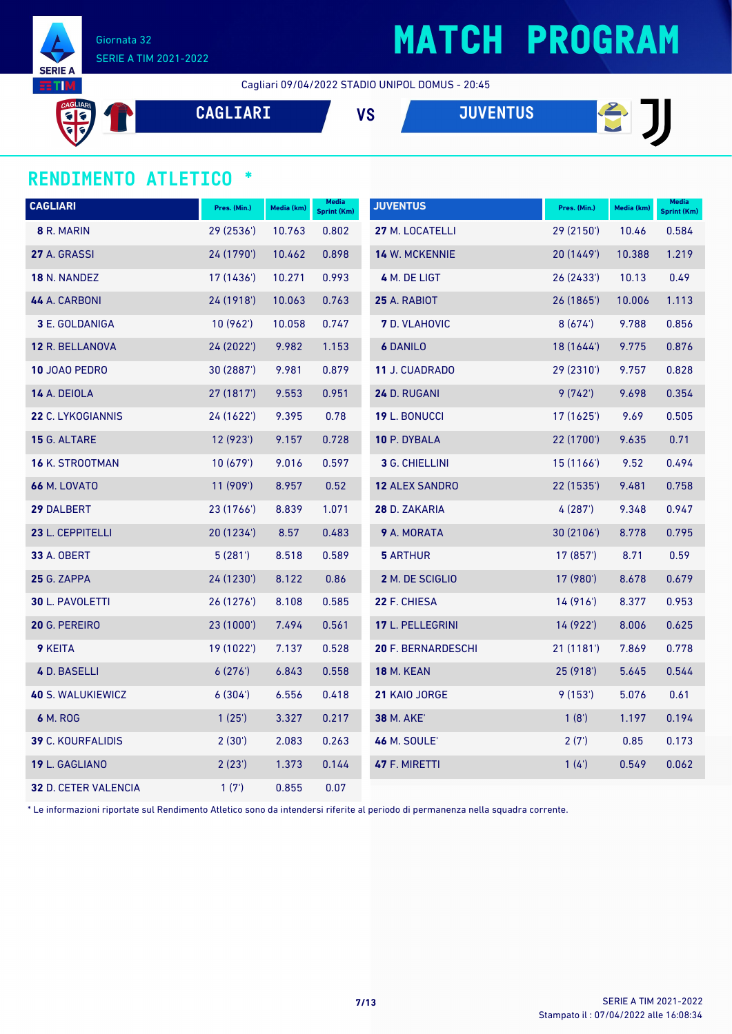

Giornata 32 SERIE A TIM 2021-2022

## **MATCH PROGRAM**

Cagliari 09/04/2022 STADIO UNIPOL DOMUS - 20:45

 $\overline{\bullet}$ 

**CAGLIARI VS JUVENTUS**

# **BJ**

#### **RENDIMENTO ATLETICO \***

| <b>CAGLIARI</b>          | Pres. (Min.) | Media (km) | <b>Media</b><br><b>Sprint (Km)</b> | <b>JUVENTUS</b>           | Pres. (Min.) | Media (km) | <b>Media</b><br><b>Sprint (Km)</b> |
|--------------------------|--------------|------------|------------------------------------|---------------------------|--------------|------------|------------------------------------|
| 8 R. MARIN               | 29 (2536')   | 10.763     | 0.802                              | 27 M. LOCATELLI           | 29 (2150')   | 10.46      | 0.584                              |
| 27 A. GRASSI             | 24 (1790')   | 10.462     | 0.898                              | <b>14 W. MCKENNIE</b>     | 20 (1449')   | 10.388     | 1.219                              |
| <b>18 N. NANDEZ</b>      | 17 (1436')   | 10.271     | 0.993                              | 4 M. DE LIGT              | 26(2433)     | 10.13      | 0.49                               |
| 44 A. CARBONI            | 24 (1918')   | 10.063     | 0.763                              | 25 A. RABIOT              | 26 (1865')   | 10.006     | 1.113                              |
| <b>3 E. GOLDANIGA</b>    | 10(962)      | 10.058     | 0.747                              | <b>7</b> D. VLAHOVIC      | 8(674)       | 9.788      | 0.856                              |
| 12 R. BELLANOVA          | 24 (2022')   | 9.982      | 1.153                              | <b>6 DANILO</b>           | 18 (1644')   | 9.775      | 0.876                              |
| 10 JOAO PEDRO            | 30 (2887')   | 9.981      | 0.879                              | 11 J. CUADRADO            | 29 (2310')   | 9.757      | 0.828                              |
| 14 A. DEIOLA             | 27 (1817')   | 9.553      | 0.951                              | 24 D. RUGANI              | 9(742)       | 9.698      | 0.354                              |
| 22 C. LYKOGIANNIS        | 24 (1622')   | 9.395      | 0.78                               | <b>19 L. BONUCCI</b>      | 17 (1625')   | 9.69       | 0.505                              |
| 15 G. ALTARE             | 12 (923')    | 9.157      | 0.728                              | 10 P. DYBALA              | 22 (1700')   | 9.635      | 0.71                               |
| <b>16 K. STROOTMAN</b>   | 10(679)      | 9.016      | 0.597                              | 3 G. CHIELLINI            | 15 (1166')   | 9.52       | 0.494                              |
| <b>66 M. LOVATO</b>      | 11 (909')    | 8.957      | 0.52                               | <b>12 ALEX SANDRO</b>     | 22 (1535')   | 9.481      | 0.758                              |
| 29 DALBERT               | 23 (1766')   | 8.839      | 1.071                              | 28 D. ZAKARIA             | 4(287)       | 9.348      | 0.947                              |
| 23 L. CEPPITELLI         | 20 (1234')   | 8.57       | 0.483                              | <b>9</b> A. MORATA        | 30(2106)     | 8.778      | 0.795                              |
| <b>33 A. OBERT</b>       | 5(281)       | 8.518      | 0.589                              | <b>5 ARTHUR</b>           | 17 (857')    | 8.71       | 0.59                               |
| 25 G. ZAPPA              | 24 (1230')   | 8.122      | 0.86                               | 2 M. DE SCIGLIO           | 17 (980')    | 8.678      | 0.679                              |
| 30 L. PAVOLETTI          | 26 (1276')   | 8.108      | 0.585                              | 22 F. CHIESA              | 14(916)      | 8.377      | 0.953                              |
| 20 G. PEREIRO            | 23 (1000')   | 7.494      | 0.561                              | 17 L. PELLEGRINI          | 14 (922')    | 8.006      | 0.625                              |
| 9 KEITA                  | 19 (1022')   | 7.137      | 0.528                              | <b>20 F. BERNARDESCHI</b> | 21(1181)     | 7.869      | 0.778                              |
| 4 D. BASELLI             | 6(276)       | 6.843      | 0.558                              | <b>18 M. KEAN</b>         | 25(918)      | 5.645      | 0.544                              |
| <b>40 S. WALUKIEWICZ</b> | 6(304)       | 6.556      | 0.418                              | 21 KAIO JORGE             | 9(153)       | 5.076      | 0.61                               |
| 6 M. ROG                 | 1(25)        | 3.327      | 0.217                              | <b>38 M. AKE'</b>         | 1(8')        | 1.197      | 0.194                              |
| <b>39 C. KOURFALIDIS</b> | 2(30')       | 2.083      | 0.263                              | <b>46 M. SOULE'</b>       | 2(7)         | 0.85       | 0.173                              |
| 19 L. GAGLIANO           | 2(23')       | 1.373      | 0.144                              | 47 F. MIRETTI             | 1(4)         | 0.549      | 0.062                              |
| 32 D. CETER VALENCIA     | 1(7)         | 0.855      | 0.07                               |                           |              |            |                                    |

\* Le informazioni riportate sul Rendimento Atletico sono da intendersi riferite al periodo di permanenza nella squadra corrente.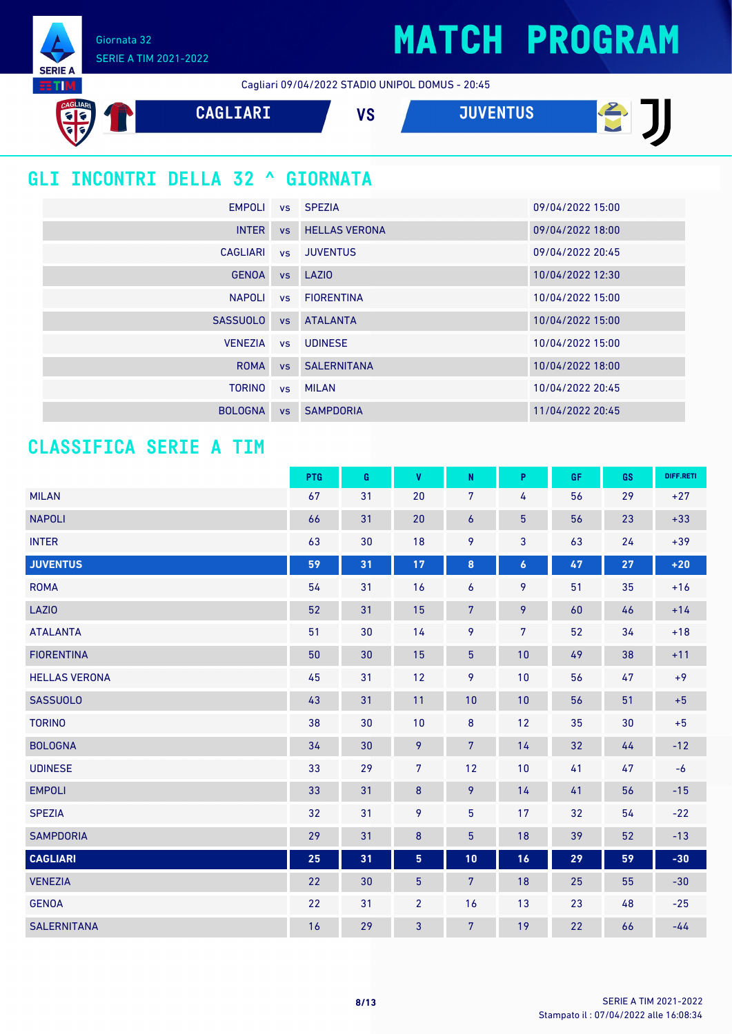Giornata 32 SERIE A TIM 2021-2022

**SERIE A ETIM** 

Cagliari 09/04/2022 STADIO UNIPOL DOMUS - 20:45



### **GLI INCONTRI DELLA 32 ^ GIORNATA**

| EMPOLI          |           | vs SPEZIA             | 09/04/2022 15:00 |
|-----------------|-----------|-----------------------|------------------|
| <b>INTER</b>    | <b>VS</b> | <b>HELLAS VERONA</b>  | 09/04/2022 18:00 |
| <b>CAGLIARI</b> |           | vs JUVENTUS           | 09/04/2022 20:45 |
| <b>GENOA</b>    |           | vs LAZIO              | 10/04/2022 12:30 |
| <b>NAPOLI</b>   |           | vs FIORENTINA         | 10/04/2022 15:00 |
| <b>SASSUOLO</b> | <b>VS</b> | <b>ATALANTA</b>       | 10/04/2022 15:00 |
| <b>VENEZIA</b>  | VS        | <b>UDINESE</b>        | 10/04/2022 15:00 |
| <b>ROMA</b>     |           | <b>vs</b> SALERNITANA | 10/04/2022 18:00 |
| <b>TORINO</b>   |           | vs MILAN              | 10/04/2022 20:45 |
| <b>BOLOGNA</b>  | <b>VS</b> | <b>SAMPDORIA</b>      | 11/04/2022 20:45 |

#### **CLASSIFICA SERIE A TIM**

|                      | <b>PTG</b> | G  | <b>V</b>        | $\mathsf{N}$     | P                | <b>GF</b> | GS | DIFF.RETI |
|----------------------|------------|----|-----------------|------------------|------------------|-----------|----|-----------|
| <b>MILAN</b>         | 67         | 31 | 20              | 7                | 4                | 56        | 29 | $+27$     |
| <b>NAPOLI</b>        | 66         | 31 | 20              | $\boldsymbol{6}$ | $\overline{5}$   | 56        | 23 | $+33$     |
| <b>INTER</b>         | 63         | 30 | 18              | 9                | 3                | 63        | 24 | $+39$     |
| <b>JUVENTUS</b>      | 59         | 31 | 17              | $\pmb{8}$        | $\boldsymbol{6}$ | 47        | 27 | $+20$     |
| <b>ROMA</b>          | 54         | 31 | 16              | $\boldsymbol{6}$ | 9                | 51        | 35 | $+16$     |
| <b>LAZIO</b>         | 52         | 31 | 15              | $\overline{7}$   | 9                | 60        | 46 | $+14$     |
| <b>ATALANTA</b>      | 51         | 30 | 14              | 9                | $\overline{7}$   | 52        | 34 | $+18$     |
| <b>FIORENTINA</b>    | 50         | 30 | 15              | 5 <sup>5</sup>   | 10               | 49        | 38 | $+11$     |
| <b>HELLAS VERONA</b> | 45         | 31 | 12              | 9                | 10               | 56        | 47 | $+9$      |
| <b>SASSUOLO</b>      | 43         | 31 | 11              | 10               | 10               | 56        | 51 | $+5$      |
| <b>TORINO</b>        | 38         | 30 | 10              | $\bf 8$          | 12               | 35        | 30 | $+5$      |
| <b>BOLOGNA</b>       | 34         | 30 | 9               | $\overline{7}$   | 14               | 32        | 44 | $-12$     |
| <b>UDINESE</b>       | 33         | 29 | $\overline{7}$  | 12               | 10               | 41        | 47 | $-6$      |
| <b>EMPOLI</b>        | 33         | 31 | $\bf 8$         | 9                | 14               | 41        | 56 | $-15$     |
| <b>SPEZIA</b>        | 32         | 31 | 9               | 5                | 17               | 32        | 54 | $-22$     |
| <b>SAMPDORIA</b>     | 29         | 31 | $\bf 8$         | 5                | 18               | 39        | 52 | $-13$     |
| <b>CAGLIARI</b>      | 25         | 31 | $5\phantom{.0}$ | 10               | 16               | 29        | 59 | $-30$     |
| <b>VENEZIA</b>       | 22         | 30 | $5\phantom{.0}$ | $\overline{7}$   | 18               | 25        | 55 | $-30$     |
| <b>GENOA</b>         | 22         | 31 | $\overline{2}$  | 16               | 13               | 23        | 48 | $-25$     |
| <b>SALERNITANA</b>   | 16         | 29 | 3               | $\overline{7}$   | 19               | 22        | 66 | $-44$     |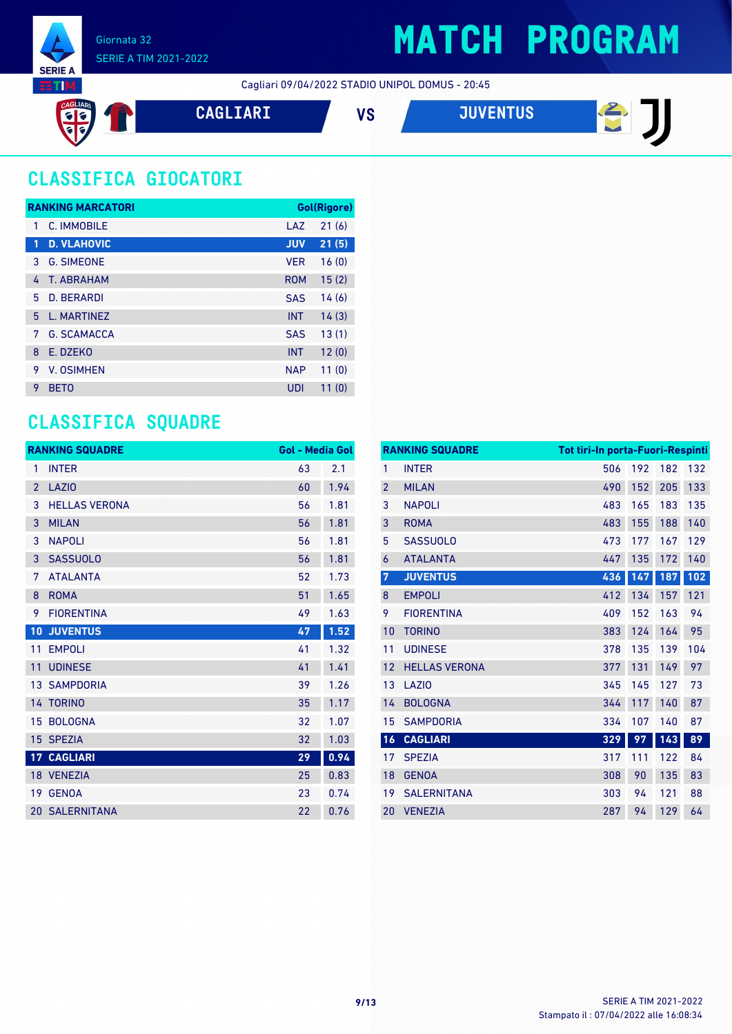

图

Cagliari 09/04/2022 STADIO UNIPOL DOMUS - 20:45



### **CLASSIFICA GIOCATORI**

|   | <b>RANKING MARCATORI</b> |            | <b>Gol(Rigore)</b> |
|---|--------------------------|------------|--------------------|
| 1 | C. IMMOBILE              | LAZ        | 21(6)              |
| 1 | <b>D. VLAHOVIC</b>       | <b>JUV</b> | 21(5)              |
| 3 | <b>G. SIMEONE</b>        | <b>VER</b> | 16(0)              |
| 4 | T. ABRAHAM               | <b>ROM</b> | 15(2)              |
| 5 | <b>D. BERARDI</b>        | <b>SAS</b> | 14(6)              |
| 5 | L. MARTINEZ              | <b>INT</b> | 14(3)              |
| 7 | <b>G. SCAMACCA</b>       | <b>SAS</b> | 13(1)              |
| 8 | E. DZEKO                 | <b>INT</b> | 12(0)              |
| 9 | V. OSIMHEN               | <b>NAP</b> | 11(0)              |
| 9 | <b>BETO</b>              | UDI        | 11(0)              |

### **CLASSIFICA SQUADRE**

|                | <b>RANKING SQUADRE</b> | <b>Gol - Media Gol</b> |      |
|----------------|------------------------|------------------------|------|
| 1              | <b>INTER</b>           | 63                     | 2.1  |
| $\overline{2}$ | <b>LAZIO</b>           | 60                     | 1.94 |
| 3              | <b>HELLAS VERONA</b>   | 56                     | 1.81 |
| 3              | <b>MILAN</b>           | 56                     | 1.81 |
| 3              | <b>NAPOLI</b>          | 56                     | 1.81 |
| 3              | <b>SASSUOLO</b>        | 56                     | 1.81 |
| 7              | <b>ATALANTA</b>        | 52                     | 1.73 |
| 8              | <b>ROMA</b>            | 51                     | 1.65 |
| 9              | <b>FIORENTINA</b>      | 49                     | 1.63 |
| 10             | <b>JUVENTUS</b>        | 47                     | 1.52 |
| 11             | <b>EMPOLI</b>          | 41                     | 1.32 |
| 11             | <b>UDINESE</b>         | 41                     | 1.41 |
|                | <b>13 SAMPDORIA</b>    | 39                     | 1.26 |
|                | 14 TORINO              | 35                     | 1.17 |
|                | 15 BOLOGNA             | 32                     | 1.07 |
|                | 15 SPEZIA              | 32                     | 1.03 |
|                | <b>17 CAGLIARI</b>     | 29                     | 0.94 |
|                | 18 VENEZIA             | 25                     | 0.83 |
|                | 19 GENOA               | 23                     | 0.74 |
|                | <b>20 SALERNITANA</b>  | 22                     | 0.76 |

| <b>RANKING SQUADRE</b> |                      | <b>Tot tiri-In porta-Fuori-Respinti</b> |     |     |     |
|------------------------|----------------------|-----------------------------------------|-----|-----|-----|
| 1                      | <b>INTER</b>         | 506                                     | 192 | 182 | 132 |
| $\overline{2}$         | <b>MILAN</b>         | 490                                     | 152 | 205 | 133 |
| 3                      | <b>NAPOLI</b>        | 483                                     | 165 | 183 | 135 |
| 3                      | <b>ROMA</b>          | 483                                     | 155 | 188 | 140 |
| 5                      | <b>SASSUOLO</b>      | 473                                     | 177 | 167 | 129 |
| $\overline{6}$         | <b>ATALANTA</b>      | 447                                     | 135 | 172 | 140 |
| $\overline{7}$         | <b>JUVENTUS</b>      | 436                                     | 147 | 187 | 102 |
| 8                      | <b>EMPOLI</b>        | 412                                     | 134 | 157 | 121 |
| 9                      | <b>FIORENTINA</b>    | 409                                     | 152 | 163 | 94  |
| 10                     | <b>TORINO</b>        | 383                                     | 124 | 164 | 95  |
| 11                     | <b>UDINESE</b>       | 378                                     | 135 | 139 | 104 |
| 12                     | <b>HELLAS VERONA</b> | 377                                     | 131 | 149 | 97  |
| 13                     | LAZI <sub>0</sub>    | 345                                     | 145 | 127 | 73  |
| 14                     | <b>BOLOGNA</b>       | 344                                     | 117 | 140 | 87  |
| 15                     | <b>SAMPDORIA</b>     | 334                                     | 107 | 140 | 87  |
| 16                     | <b>CAGLIARI</b>      | 329                                     | 97  | 143 | 89  |
| 17                     | <b>SPEZIA</b>        | 317                                     | 111 | 122 | 84  |
| 18                     | <b>GENOA</b>         | 308                                     | 90  | 135 | 83  |
| 19                     | <b>SALERNITANA</b>   | 303                                     | 94  | 121 | 88  |
| 20                     | <b>VENEZIA</b>       | 287                                     | 94  | 129 | 64  |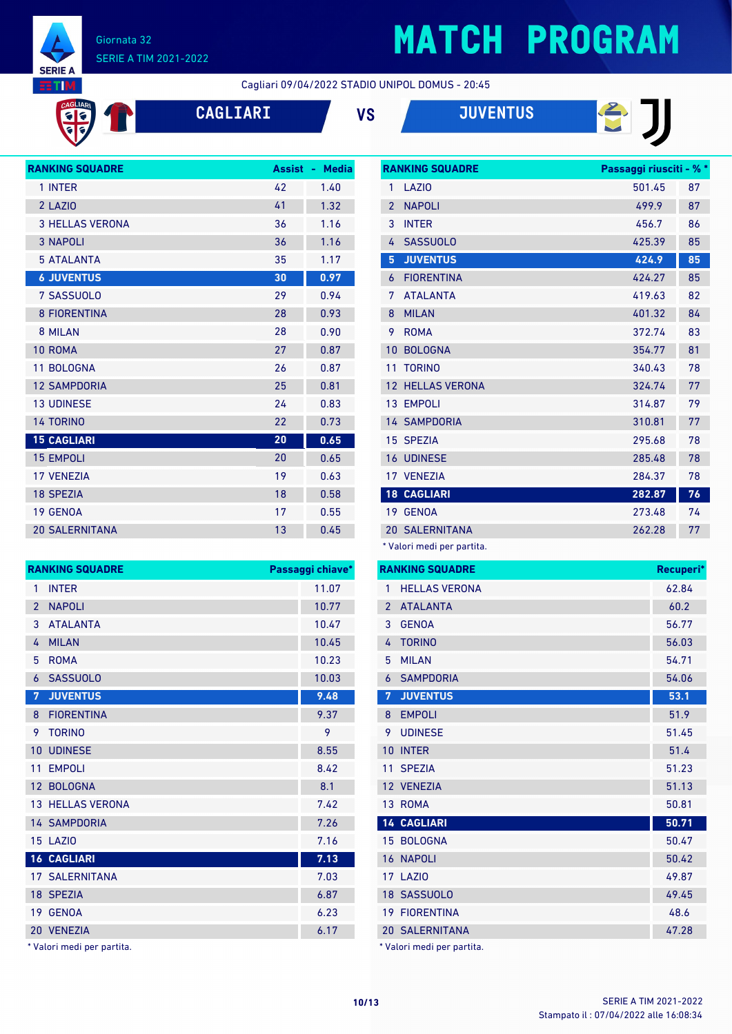

CAGLIARI

#### Giornata 32 SERIE A TIM 2021-2022

 $\mathbf{T}$ 

## **MATCH PROGRAM**

Cagliari 09/04/2022 STADIO UNIPOL DOMUS - 20:45

|  | <b>CA</b> |  |
|--|-----------|--|
|  |           |  |





**RANKING SQUADRE Passaggi riusciti - % \***



| <b>RANKING SQUADRE</b> | <b>Assist</b> | <b>Media</b><br>A. |
|------------------------|---------------|--------------------|
| 1 INTER                | 42            | 1.40               |
| 2 LAZIO                | 41            | 1.32               |
| <b>3 HELLAS VERONA</b> | 36            | 1.16               |
| <b>3 NAPOLI</b>        | 36            | 1.16               |
| <b>5 ATALANTA</b>      | 35            | 1.17               |
| <b>6 JUVENTUS</b>      | 30            | 0.97               |
| 7 SASSUOLO             | 29            | 0.94               |
| <b>8 FIORENTINA</b>    | 28            | 0.93               |
| 8 MILAN                | 28            | 0.90               |
| 10 ROMA                | 27            | 0.87               |
| 11 BOLOGNA             | 26            | 0.87               |
| <b>12 SAMPDORIA</b>    | 25            | 0.81               |
| <b>13 UDINESE</b>      | 24            | 0.83               |
| <b>14 TORINO</b>       | 22            | 0.73               |
| <b>15 CAGLIARI</b>     | 20            | 0.65               |
| <b>15 EMPOLI</b>       | 20            | 0.65               |
| <b>17 VFNF7IA</b>      | 19            | 0.63               |
| <b>18 SPEZIA</b>       | 18            | 0.58               |
| <b>19 GENOA</b>        | 17            | 0.55               |
| <b>20 SALERNITANA</b>  | 13            | 0.45               |

|                 | <b>RANKING SQUADRE</b>  | Passaggi chiave* |
|-----------------|-------------------------|------------------|
| 1               | <b>INTER</b>            | 11.07            |
| $\overline{2}$  | <b>NAPOLI</b>           | 10.77            |
| 3               | <b>ATALANTA</b>         | 10.47            |
| 4               | <b>MILAN</b>            | 10.45            |
| 5               | <b>ROMA</b>             | 10.23            |
| 6               | <b>SASSUOLO</b>         | 10.03            |
| 7               | <b>JUVENTUS</b>         | 9.48             |
| 8               | <b>FIORENTINA</b>       | 9.37             |
| 9               | <b>TORINO</b>           | 9                |
| 10              | <b>UDINESE</b>          | 8.55             |
| 11              | <b>EMPOLI</b>           | 8.42             |
| 12 <sup>2</sup> | <b>BOLOGNA</b>          | 8.1              |
|                 | <b>13 HELLAS VERONA</b> | 7.42             |
|                 | <b>14 SAMPDORIA</b>     | 7.26             |
|                 | 15 LAZIO                | 7.16             |
|                 | <b>16 CAGLIARI</b>      | 7.13             |
|                 | <b>17 SALERNITANA</b>   | 7.03             |
|                 | 18 SPEZIA               | 6.87             |
| 19              | <b>GENOA</b>            | 6.23             |
| 20              | <b>VENEZIA</b>          | 6.17             |

\* Valori medi per partita.

|                | www.communication          | aaaayyi maacin w |    |
|----------------|----------------------------|------------------|----|
| $\mathbf{1}$   | LAZI <sub>0</sub>          | 501.45           | 87 |
| $\overline{2}$ | <b>NAPOLI</b>              | 499.9            | 87 |
| 3              | <b>INTER</b>               | 456.7            | 86 |
| 4              | <b>SASSUOLO</b>            | 425.39           | 85 |
| 5              | <b>JUVENTUS</b>            | 424.9            | 85 |
| 6              | <b>FIORENTINA</b>          | 424.27           | 85 |
| 7              | <b>ATALANTA</b>            | 419.63           | 82 |
| 8              | <b>MILAN</b>               | 401.32           | 84 |
| 9              | <b>ROMA</b>                | 372.74           | 83 |
| 10             | <b>BOLOGNA</b>             | 354.77           | 81 |
| 11             | <b>TORINO</b>              | 340.43           | 78 |
|                | <b>12 HELLAS VERONA</b>    | 324.74           | 77 |
|                | 13 EMPOLI                  | 314.87           | 79 |
|                | <b>14 SAMPDORIA</b>        | 310.81           | 77 |
|                | 15 SPEZIA                  | 295.68           | 78 |
|                | <b>16 UDINESE</b>          | 285.48           | 78 |
|                | 17 VENEZIA                 | 284.37           | 78 |
|                | <b>18 CAGLIARI</b>         | 282.87           | 76 |
|                | 19 GENOA                   | 273.48           | 74 |
|                | <b>20 SALERNITANA</b>      | 262.28           | 77 |
|                | * Valori medi per partita. |                  |    |

|                | <b>RANKING SQUADRE</b>     | Recuperi* |
|----------------|----------------------------|-----------|
| 1              | <b>HELLAS VERONA</b>       | 62.84     |
| $\overline{2}$ | <b>ATALANTA</b>            | 60.2      |
| 3              | <b>GENOA</b>               | 56.77     |
| 4              | <b>TORINO</b>              | 56.03     |
| 5              | <b>MILAN</b>               | 54.71     |
| 6              | <b>SAMPDORIA</b>           | 54.06     |
| 7              | <b>JUVENTUS</b>            | 53.1      |
| 8              | <b>EMPOLI</b>              | 51.9      |
| 9              | <b>UDINESE</b>             | 51.45     |
| 10             | <b>INTER</b>               | 51.4      |
| 11             | <b>SPEZIA</b>              | 51.23     |
|                | 12 VENEZIA                 | 51.13     |
|                | 13 ROMA                    | 50.81     |
|                | <b>14 CAGLIARI</b>         | 50.71     |
|                | 15 BOLOGNA                 | 50.47     |
|                | 16 NAPOLI                  | 50.42     |
|                | <b>17 LAZIO</b>            | 49.87     |
|                | 18 SASSUOLO                | 49.45     |
|                | <b>19 FIORENTINA</b>       | 48.6      |
|                | <b>20 SALERNITANA</b>      | 47.28     |
|                | * Valori medi per partita. |           |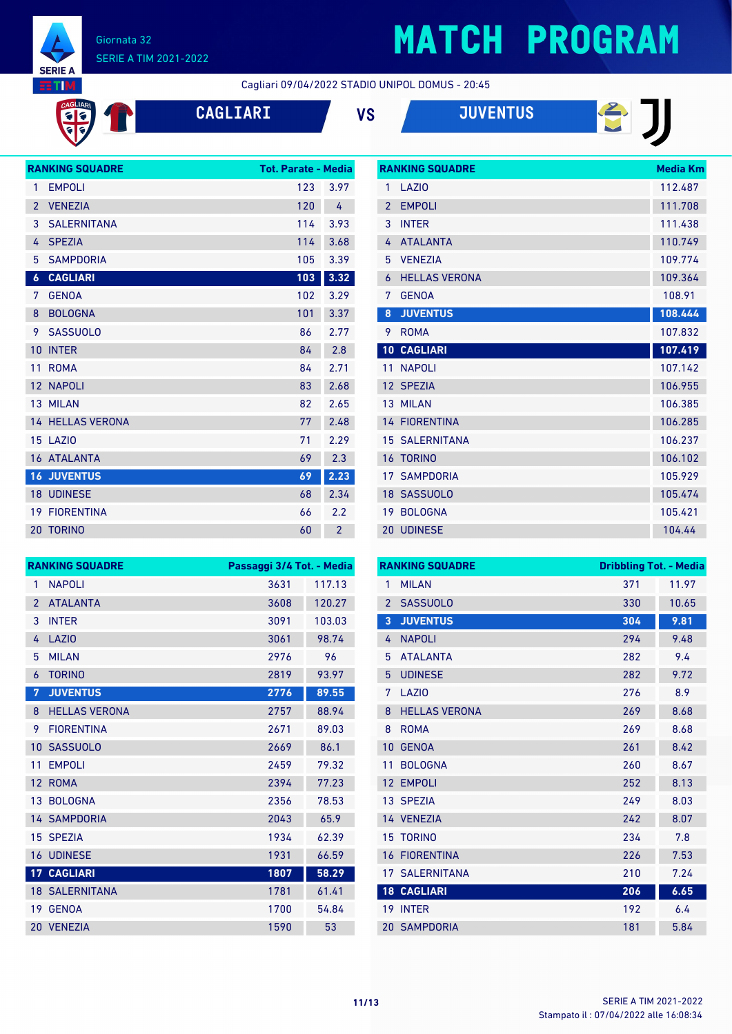

CAGLIARI

#### Giornata 32 SERIE A TIM 2021-2022

## **MATCH PROGRAM**

日リ

Cagliari 09/04/2022 STADIO UNIPOL DOMUS - 20:45

| <b>CAGLIAR</b> |  |  |
|----------------|--|--|
|                |  |  |

| VS | <b>JUVENTUS</b> |
|----|-----------------|
|    |                 |

|                  | <b>RANKING SQUADRE</b><br><b>Tot. Parate - Media</b> |     |                |
|------------------|------------------------------------------------------|-----|----------------|
| 1                | <b>EMPOLI</b>                                        | 123 | 3.97           |
| $\overline{2}$   | <b>VENEZIA</b>                                       | 120 | 4              |
| 3                | <b>SALERNITANA</b>                                   | 114 | 3.93           |
| 4                | <b>SPEZIA</b>                                        | 114 | 3.68           |
| 5                | <b>SAMPDORIA</b>                                     | 105 | 3.39           |
| $\boldsymbol{6}$ | <b>CAGLIARI</b>                                      | 103 | 3.32           |
| 7                | <b>GENOA</b>                                         | 102 | 3.29           |
| 8                | <b>BOLOGNA</b>                                       | 101 | 3.37           |
| 9                | <b>SASSUOLO</b>                                      | 86  | 2.77           |
| 10               | <b>INTER</b>                                         | 84  | 2.8            |
| 11               | <b>ROMA</b>                                          | 84  | 2.71           |
| 12               | <b>NAPOLI</b>                                        | 83  | 2.68           |
| 13               | <b>MILAN</b>                                         | 82  | 2.65           |
|                  | <b>14 HELLAS VERONA</b>                              | 77  | 2.48           |
|                  | 15 LAZIO                                             | 71  | 2.29           |
|                  | <b>16 ATALANTA</b>                                   | 69  | 2.3            |
|                  | <b>16 JUVENTUS</b>                                   | 69  | 2.23           |
| 18               | <b>UDINESE</b>                                       | 68  | 2.34           |
| 19               | <b>FIORENTINA</b>                                    | 66  | 2.2            |
|                  | 20 TORINO                                            | 60  | $\overline{2}$ |

|                          | <b>RANKING SQUADRE</b> | Media Km |
|--------------------------|------------------------|----------|
| 1                        | LAZI <sub>0</sub>      | 112.487  |
| $\overline{\phantom{a}}$ | <b>EMPOLI</b>          | 111.708  |
| 3                        | <b>INTER</b>           | 111.438  |
| 4                        | <b>ATALANTA</b>        | 110.749  |
| 5                        | <b>VENEZIA</b>         | 109.774  |
| 6                        | <b>HELLAS VERONA</b>   | 109.364  |
| 7                        | <b>GENOA</b>           | 108.91   |
| 8                        | <b>JUVENTUS</b>        | 108.444  |
| 9                        | <b>ROMA</b>            | 107.832  |
| 10                       | <b>CAGLIARI</b>        | 107.419  |
| 11                       | <b>NAPOLI</b>          | 107.142  |
|                          | 12 SPEZIA              | 106.955  |
|                          | 13 MILAN               | 106.385  |
|                          | <b>14 FIORENTINA</b>   | 106.285  |
|                          | <b>15 SALERNITANA</b>  | 106.237  |
| 16                       | <b>TORINO</b>          | 106.102  |
| 17 <sup>1</sup>          | <b>SAMPDORIA</b>       | 105.929  |
|                          | 18 SASSUOLO            | 105.474  |
| 19                       | <b>BOLOGNA</b>         | 105.421  |
| 20                       | <b>UDINESE</b>         | 104.44   |

|                 | <b>RANKING SQUADRE</b> | Passaggi 3/4 Tot. - Media |        |
|-----------------|------------------------|---------------------------|--------|
| 1               | <b>NAPOLI</b>          | 3631                      | 117.13 |
| $\mathcal{P}$   | <b>ATALANTA</b>        | 3608                      | 120.27 |
| 3               | <b>INTER</b>           | 3091                      | 103.03 |
| 4               | <b>LAZIO</b>           | 3061                      | 98.74  |
| 5               | <b>MILAN</b>           | 2976                      | 96     |
| 6               | <b>TORINO</b>          | 2819                      | 93.97  |
| 7               | <b>JUVENTUS</b>        | 2776                      | 89.55  |
| 8               | <b>HELLAS VERONA</b>   | 2757                      | 88.94  |
| 9               | <b>FIORENTINA</b>      | 2671                      | 89.03  |
| 10              | <b>SASSUOLO</b>        | 2669                      | 86.1   |
| 11              | <b>EMPOLI</b>          | 2459                      | 79.32  |
| 12              | <b>ROMA</b>            | 2394                      | 77.23  |
| 13              | <b>BOLOGNA</b>         | 2356                      | 78.53  |
| 14              | <b>SAMPDORIA</b>       | 2043                      | 65.9   |
| 15              | <b>SPEZIA</b>          | 1934                      | 62.39  |
| 16              | <b>UDINESE</b>         | 1931                      | 66.59  |
| 17 <sup>2</sup> | <b>CAGLIARI</b>        | 1807                      | 58.29  |
|                 | <b>18 SALERNITANA</b>  | 1781                      | 61.41  |
| 19              | <b>GENOA</b>           | 1700                      | 54.84  |
| 20              | <b>VENEZIA</b>         | 1590                      | 53     |

| <b>RANKING SQUADRE</b> |                       | <b>Dribbling Tot. - Media</b> |       |
|------------------------|-----------------------|-------------------------------|-------|
| 1                      | <b>MILAN</b>          | 371                           | 11.97 |
| $\overline{2}$         | <b>SASSUOLO</b>       | 330                           | 10.65 |
| 3                      | <b>JUVENTUS</b>       | 304                           | 9.81  |
| 4                      | <b>NAPOLI</b>         | 294                           | 9.48  |
| 5                      | <b>ATALANTA</b>       | 282                           | 9.4   |
| 5                      | <b>UDINESE</b>        | 282                           | 9.72  |
| 7                      | LAZIO                 | 276                           | 8.9   |
| 8                      | <b>HELLAS VERONA</b>  | 269                           | 8.68  |
| 8                      | <b>ROMA</b>           | 269                           | 8.68  |
| 10                     | <b>GENOA</b>          | 261                           | 8.42  |
| 11                     | <b>BOLOGNA</b>        | 260                           | 8.67  |
| 12                     | <b>EMPOLI</b>         | 252                           | 8.13  |
|                        | 13 SPEZIA             | 249                           | 8.03  |
|                        | 14 VENEZIA            | 242                           | 8.07  |
|                        | <b>15 TORINO</b>      | 234                           | 7.8   |
| 16                     | <b>FIORENTINA</b>     | 226                           | 7.53  |
|                        | <b>17 SALERNITANA</b> | 210                           | 7.24  |
|                        | <b>18 CAGLIARI</b>    | 206                           | 6.65  |
| 19                     | <b>INTER</b>          | 192                           | 6.4   |
|                        | <b>20 SAMPDORIA</b>   | 181                           | 5.84  |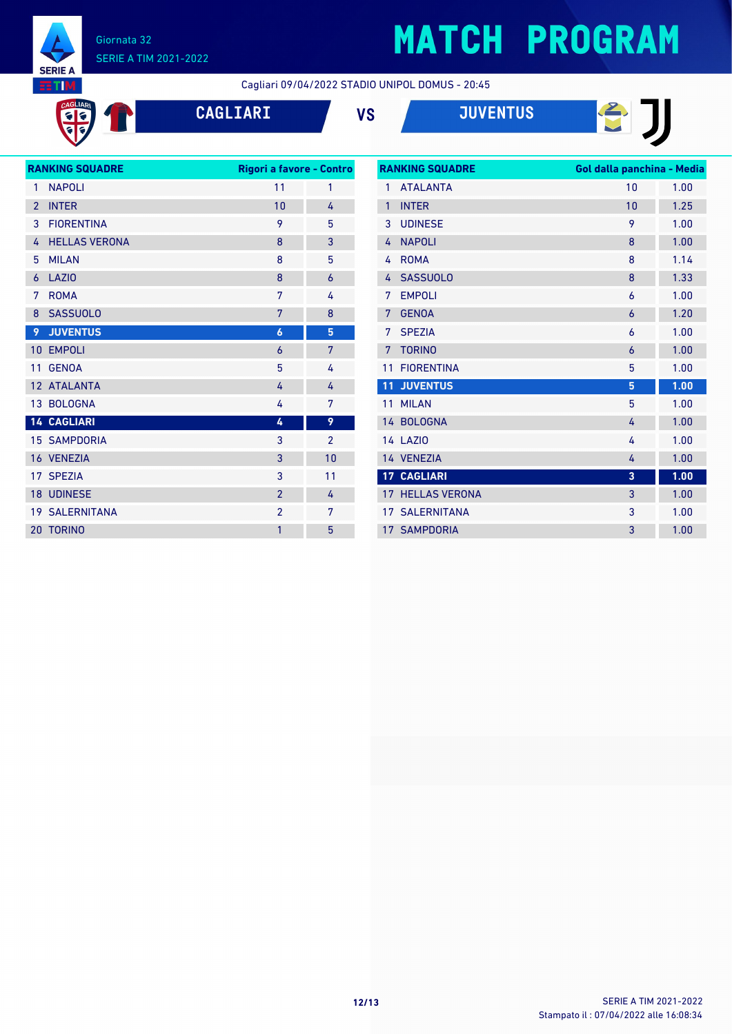

CAGLIAR<br>CI G

#### Giornata 32 SERIE A TIM 2021-2022

# **MATCH PROGRAM**

日

Cagliari 09/04/2022 STADIO UNIPOL DOMUS - 20:45

**CAGLIARI VS JUVENTUS**

| <b>RANKING SQUADRE</b> |                      | Rigori a favore - Contro |                |
|------------------------|----------------------|--------------------------|----------------|
| 1                      | <b>NAPOLI</b>        | 11                       | 1              |
| $\overline{2}$         | <b>INTER</b>         | 10                       | 4              |
| 3                      | <b>FIORENTINA</b>    | 9                        | 5              |
| 4                      | <b>HELLAS VERONA</b> | 8                        | 3              |
| 5                      | <b>MII AN</b>        | 8                        | 5              |
| $\overline{6}$         | <b>LAZIO</b>         | 8                        | $\overline{6}$ |
| 7                      | <b>ROMA</b>          | 7                        | 4              |
| 8                      | <b>SASSUOLO</b>      | 7                        | 8              |
| 9                      | <b>JUVENTUS</b>      | 6                        | 5              |
| 10                     | <b>EMPOLI</b>        | 6                        | 7              |
| 11                     | <b>GENOA</b>         | 5                        | 4              |
| 12                     | <b>ATALANTA</b>      | 4                        | 4              |
| 13                     | <b>BOLOGNA</b>       | 4                        | 7              |
|                        | <b>14 CAGLIARI</b>   | 4                        | 9              |
|                        | <b>15 SAMPDORIA</b>  | 3                        | $\overline{2}$ |
|                        | 16 VENEZIA           | 3                        | 10             |
| 17                     | <b>SPEZIA</b>        | 3                        | 11             |
| 18                     | <b>UDINESE</b>       | $\overline{2}$           | 4              |
| 19                     | <b>SALERNITANA</b>   | $\overline{2}$           | 7              |
| 20                     | <b>TORINO</b>        | 1                        | 5              |

| <b>RANKING SQUADRE</b> |                      | Gol dalla panchina - Media |      |
|------------------------|----------------------|----------------------------|------|
| $\mathbf{1}$           | <b>ATAI ANTA</b>     | 10                         | 1.00 |
| $\mathbf{1}$           | <b>INTER</b>         | 10                         | 1.25 |
| 3                      | <b>UDINESE</b>       | 9                          | 1.00 |
| 4                      | <b>NAPOLI</b>        | 8                          | 1.00 |
| 4                      | <b>ROMA</b>          | 8                          | 1.14 |
| 4                      | <b>SASSUOLO</b>      | 8                          | 1.33 |
| 7                      | <b>EMPOLI</b>        | 6                          | 1.00 |
| 7                      | <b>GENOA</b>         | $\overline{6}$             | 1.20 |
| 7                      | <b>SPEZIA</b>        | 6                          | 1.00 |
| 7                      | <b>TORINO</b>        | $\overline{6}$             | 1.00 |
| 11                     | <b>FIORENTINA</b>    | 5                          | 1.00 |
| 11                     | <b>JUVENTUS</b>      | 5                          | 1.00 |
| 11                     | <b>MILAN</b>         | 5                          | 1.00 |
| 14                     | <b>BOLOGNA</b>       | 4                          | 1.00 |
|                        | <b>14 LAZIO</b>      | 4                          | 1.00 |
|                        | 14 VENEZIA           | 4                          | 1.00 |
|                        | <b>17 CAGLIARI</b>   | 3                          | 1.00 |
| 17 <sup>7</sup>        | <b>HELLAS VERONA</b> | 3                          | 1.00 |
| 17                     | <b>SALERNITANA</b>   | 3                          | 1.00 |
|                        | <b>17 SAMPDORIA</b>  | 3                          | 1.00 |